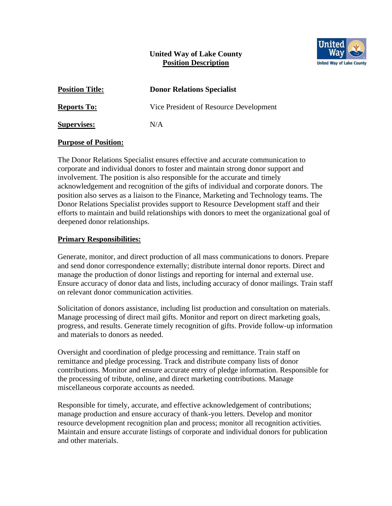# **United Way of Lake County Position Description**



| <b>Position Title:</b> | <b>Donor Relations Specialist</b>      |
|------------------------|----------------------------------------|
| <b>Reports To:</b>     | Vice President of Resource Development |
| <b>Supervises:</b>     | N/A                                    |

### **Purpose of Position:**

The Donor Relations Specialist ensures effective and accurate communication to corporate and individual donors to foster and maintain strong donor support and involvement. The position is also responsible for the accurate and timely acknowledgement and recognition of the gifts of individual and corporate donors. The position also serves as a liaison to the Finance, Marketing and Technology teams. The Donor Relations Specialist provides support to Resource Development staff and their efforts to maintain and build relationships with donors to meet the organizational goal of deepened donor relationships.

## **Primary Responsibilities:**

Generate, monitor, and direct production of all mass communications to donors. Prepare and send donor correspondence externally; distribute internal donor reports. Direct and manage the production of donor listings and reporting for internal and external use. Ensure accuracy of donor data and lists, including accuracy of donor mailings. Train staff on relevant donor communication activities.

Solicitation of donors assistance, including list production and consultation on materials. Manage processing of direct mail gifts. Monitor and report on direct marketing goals, progress, and results. Generate timely recognition of gifts. Provide follow-up information and materials to donors as needed.

Oversight and coordination of pledge processing and remittance. Train staff on remittance and pledge processing. Track and distribute company lists of donor contributions. Monitor and ensure accurate entry of pledge information. Responsible for the processing of tribute, online, and direct marketing contributions. Manage miscellaneous corporate accounts as needed.

Responsible for timely, accurate, and effective acknowledgement of contributions; manage production and ensure accuracy of thank-you letters. Develop and monitor resource development recognition plan and process; monitor all recognition activities. Maintain and ensure accurate listings of corporate and individual donors for publication and other materials.